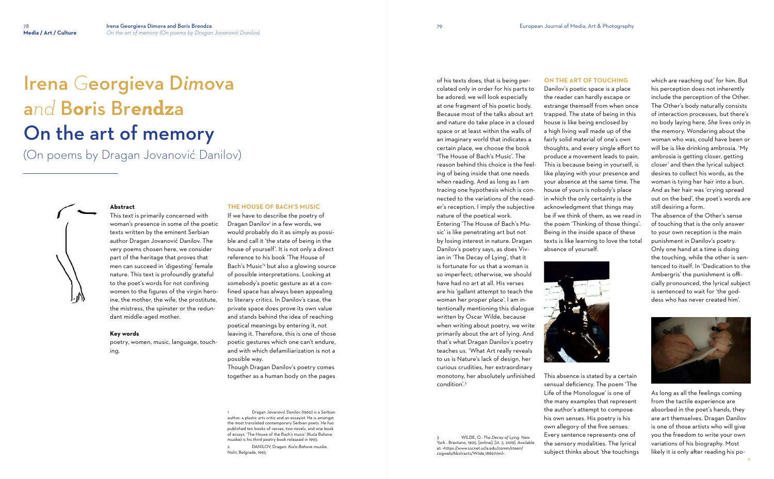# Irena *G*eorgieva D*im*ova a*nd* B**or**is Br*en***dz**a On the art of memory

(On poems by Dragan Jovanović Danilov)



#### **Abstract**

This text is primarily concerned with woman's presence in some of the poetic texts written by the eminent Serbian author Dragan Jovanović Danilov. The very poems chosen here, we consider part of the heritage that proves that men can succeed in 'digesting' female nature. This text is profoundly grateful to the poet's words for not confining women to the figures of the virgin heroine, the mother, the wife, the prostitute, the mistress, the spinster or the redundant middle-aged mother.

#### **Key words**

poetry, women, music, language, touching.

## **THE HOUSE OF BACH'S MUSIC**

If we have to describe the poetry of Dragan Danilov' in a few words, we would probably do it as simply as possible and call it 'the state of being in the house of yourself'. It is not only a direct reference to his book 'The House of Bach's Music'<sup>2</sup> but also a glowing source of possible interpretations. Looking at somebody's poetic gesture as at a confined space has always been appealing to literary critics. In Danilov's case, the private space does prove its own value and stands behind the idea of reaching poetical meanings by entering it, not leaving it. Therefore, this is one of those poetic gestures which one can't endure, and with which defamiliarization is not a possible way.

Though Dragan Danilov's poetry comes together as a human body on the pages

1 Dragan Jovanović Danilov (1960) is a Serbian author, a plastic arts critic and an essayist. He is amongst the most translated contemporary Serbian poets. He has published ten books of verses, two novels, and one book of essays. 'The House of the Bach's music' (Kuća Bahove muzike) is his third poetry book released in 1993.

2 DANILOV, Dragan: *Kuća Bahove muzike*. Nolit, Belgrade, 1993.

of his texts does, that is being percolated only in order for his parts to be adored; we will look especially at one fragment of his poetic body. Because most of the talks about art and nature do take place in a closed space or at least within the walls of an imaginary world that indicates a certain place, we choose the book 'The House of Bach's Music'. The

reason behind this choice is the feeling of being inside that one needs when reading. And as long as I am tracing one hypothesis which is connected to the variations of the reader's reception, I imply the subjective nature of the poetical work. Entering 'The House of Bach's Mu-

sic' is like penetrating art but not by losing interest in nature. Dragan Danilov's poetry says, as does Vivian in 'The Decay of Lying', that it is fortunate for us that a woman is so imperfect; otherwise, we should have had no art at all. His verses are his 'gallant attempt to teach the woman her proper place'. I am intentionally mentioning this dialogue written by Oscar Wilde, because when writing about poetry, we write primarily about the art of lying. And that's what Dragan Danilov's poetry teaches us. 'What Art really reveals to us is Nature's lack of design, her curious crudities, her extraordinary monotony, her absolutely unfinished condition'.<sup>3</sup>

3 WILDE, O.: *The Decay of Lying*. New York : Brentano, 1905. [online]. [21. 3. 2019]. Available at: <https://www.sscnet.ucla.edu/comm/steen/ cogweb/Abstracts/Wilde\_1889.html>.

# **ON THE ART OF TOUCHING**

Danilov's poetic space is a place the reader can hardly escape or estrange themself from when once trapped. The state of being in this house is like being enclosed by a high living wall made up of the fairly solid material of one's own thoughts, and every single effort to produce a movement leads to pain. This is because being in yourself, is like playing with your presence and your absence at the same time. The house of yours is nobody's place in which the only certainty is the acknowledgment that things may be if we think of them, as we read in the poem 'Thinking of those things'. Being in the inside space of these texts is like learning to love the total absence of yourself.



This absence is stated by a certain sensual deficiency. The poem 'The Life of the Monologue' is one of the many examples that represent the author's attempt to compose his own senses. His poetry is his own allegory of the five senses. Every sentence represents one of the sensory modalities. The lyrical subject thinks about 'the touchings which are reaching out' for him. But his perception does not inherently include the perception of the Other. The Other's body naturally consists of interaction processes, but there's no body laying here, *She* lives only in the memory. Wondering about the woman who was, could have been or will be is like drinking ambrosia. 'My ambrosia is getting closer, getting closer' and then the lyrical subject desires to collect his words, as the woman is tying her hair into a bun. And as her hair was 'crying spread out on the bed', the poet's words are still desiring a form.

The absence of the Other's sense of touching that is the only answer to your own reception is the main punishment in Danilov's poetry. Only one hand at a time is doing the touching, while the other is sentenced to itself. In 'Dedication to the Ambergris' the punishment is officially pronounced, the lyrical subject is sentenced to wait for 'the goddess who has never created him'.



As long as all the feelings coming from the tactile experience are absorbed in the poet's hands, they are art themselves. Dragan Danilov is one of those artists who will give you the freedom to write your own variations of his biography. Most likely it is only after reading his po